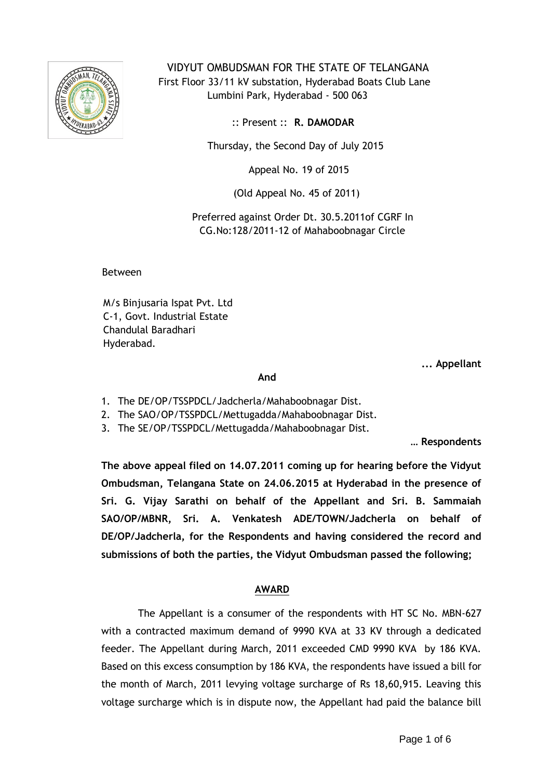

 VIDYUT OMBUDSMAN FOR THE STATE OF TELANGANA First Floor 33/11 kV substation, Hyderabad Boats Club Lane Lumbini Park, Hyderabad - 500 063

:: Present :: **R. DAMODAR**

Thursday, the Second Day of July 2015

Appeal No. 19 of 2015

(Old Appeal No. 45 of 2011)

 Preferred against Order Dt. 30.5.2011of CGRF In CG.No:128/2011-12 of Mahaboobnagar Circle

Between

M/s Binjusaria Ispat Pvt. Ltd C-1, Govt. Industrial Estate Chandulal Baradhari Hyderabad.

**... Appellant**

*And* 

- 1. The DE/OP/TSSPDCL/Jadcherla/Mahaboobnagar Dist.
- 2. The SAO/OP/TSSPDCL/Mettugadda/Mahaboobnagar Dist.
- 3. The SE/OP/TSSPDCL/Mettugadda/Mahaboobnagar Dist.

**… Respondents**

**The above appeal filed on 14.07.2011 coming up for hearing before the Vidyut Ombudsman, Telangana State on 24.06.2015 at Hyderabad in the presence of Sri. G. Vijay Sarathi on behalf of the Appellant and Sri. B. Sammaiah SAO/OP/MBNR, Sri. A. Venkatesh ADE/TOWN/Jadcherla on behalf of DE/OP/Jadcherla, for the Respondents and having considered the record and submissions of both the parties, the Vidyut Ombudsman passed the following;**

## **AWARD**

The Appellant is a consumer of the respondents with HT SC No. MBN-627 with a contracted maximum demand of 9990 KVA at 33 KV through a dedicated feeder. The Appellant during March, 2011 exceeded CMD 9990 KVA by 186 KVA. Based on this excess consumption by 186 KVA, the respondents have issued a bill for the month of March, 2011 levying voltage surcharge of Rs 18,60,915. Leaving this voltage surcharge which is in dispute now, the Appellant had paid the balance bill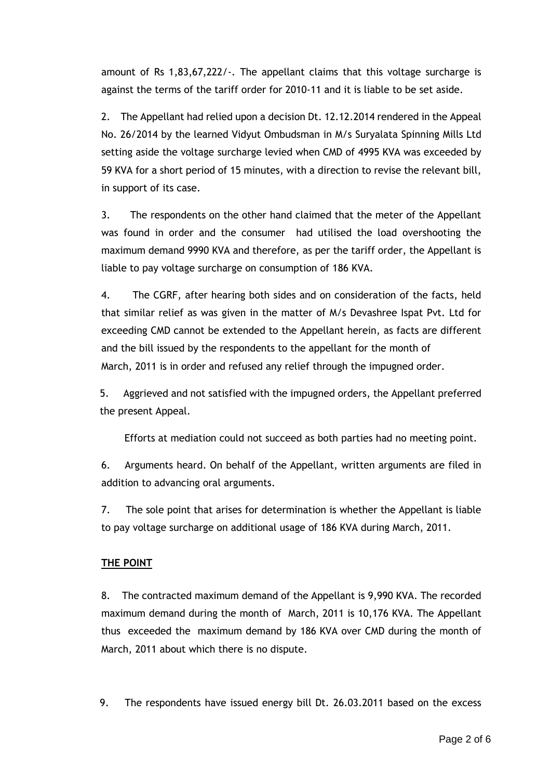amount of Rs 1,83,67,222/-. The appellant claims that this voltage surcharge is against the terms of the tariff order for 2010-11 and it is liable to be set aside.

2. The Appellant had relied upon a decision Dt. 12.12.2014 rendered in the Appeal No. 26/2014 by the learned Vidyut Ombudsman in M/s Suryalata Spinning Mills Ltd setting aside the voltage surcharge levied when CMD of 4995 KVA was exceeded by 59 KVA for a short period of 15 minutes, with a direction to revise the relevant bill, in support of its case.

3. The respondents on the other hand claimed that the meter of the Appellant was found in order and the consumer had utilised the load overshooting the maximum demand 9990 KVA and therefore, as per the tariff order, the Appellant is liable to pay voltage surcharge on consumption of 186 KVA.

4. The CGRF, after hearing both sides and on consideration of the facts, held that similar relief as was given in the matter of M/s Devashree Ispat Pvt. Ltd for exceeding CMD cannot be extended to the Appellant herein, as facts are different and the bill issued by the respondents to the appellant for the month of March, 2011 is in order and refused any relief through the impugned order.

5. Aggrieved and not satisfied with the impugned orders, the Appellant preferred the present Appeal.

Efforts at mediation could not succeed as both parties had no meeting point.

6. Arguments heard. On behalf of the Appellant, written arguments are filed in addition to advancing oral arguments.

7. The sole point that arises for determination is whether the Appellant is liable to pay voltage surcharge on additional usage of 186 KVA during March, 2011.

## **THE POINT**

8. The contracted maximum demand of the Appellant is 9,990 KVA. The recorded maximum demand during the month of March, 2011 is 10,176 KVA. The Appellant thus exceeded the maximum demand by 186 KVA over CMD during the month of March, 2011 about which there is no dispute.

9. The respondents have issued energy bill Dt. 26.03.2011 based on the excess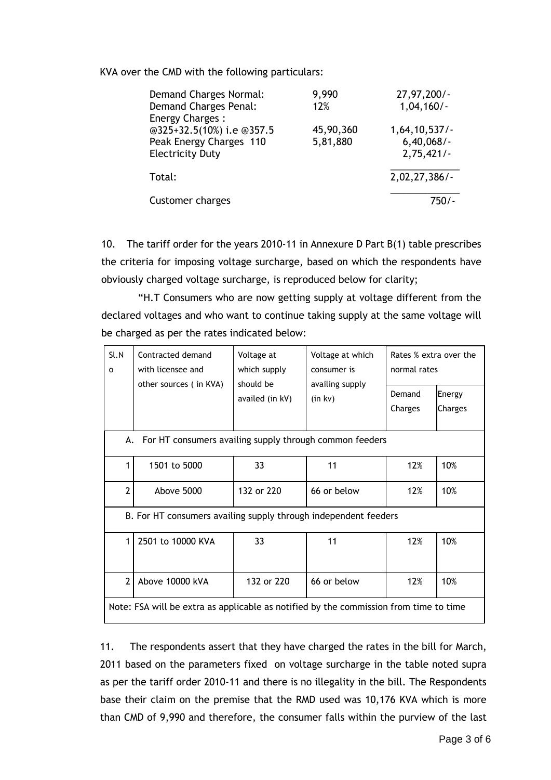KVA over the CMD with the following particulars:

| Demand Charges Normal:    | 9,990     | $27,97,200/-$ |
|---------------------------|-----------|---------------|
| Demand Charges Penal:     | 12%       | $1,04,160/-$  |
| <b>Energy Charges:</b>    |           |               |
| @325+32.5(10%) i.e @357.5 | 45,90,360 | 1,64,10,537/  |
| Peak Energy Charges 110   | 5,81,880  | $6,40,068/$ - |
| <b>Electricity Duty</b>   |           | 2,75,421/     |
|                           |           |               |
| Total:                    |           | 2,02,27,386/  |
|                           |           |               |
| Customer charges          |           | 750/-         |

10. The tariff order for the years 2010-11 in Annexure D Part B(1) table prescribes the criteria for imposing voltage surcharge, based on which the respondents have obviously charged voltage surcharge, is reproduced below for clarity;

 "H.T Consumers who are now getting supply at voltage different from the declared voltages and who want to continue taking supply at the same voltage will be charged as per the rates indicated below:

| SLN<br>o                                                                              | Contracted demand<br>with licensee and | Voltage at<br>which supply   | Voltage at which<br>consumer is<br>availing supply<br>(in kv) | Rates % extra over the<br>normal rates |                   |  |  |
|---------------------------------------------------------------------------------------|----------------------------------------|------------------------------|---------------------------------------------------------------|----------------------------------------|-------------------|--|--|
|                                                                                       | other sources (in KVA)                 | should be<br>availed (in kV) |                                                               | Demand<br>Charges                      | Energy<br>Charges |  |  |
| For HT consumers availing supply through common feeders<br>А.                         |                                        |                              |                                                               |                                        |                   |  |  |
| 1                                                                                     | 1501 to 5000                           | 33                           | 11                                                            | 12%                                    | 10%               |  |  |
| $\overline{2}$                                                                        | Above 5000                             | 132 or 220                   | 66 or below                                                   | 12%                                    | 10%               |  |  |
| B. For HT consumers availing supply through independent feeders                       |                                        |                              |                                                               |                                        |                   |  |  |
| 1                                                                                     | 2501 to 10000 KVA                      | 33                           | 11                                                            | 12%                                    | 10%               |  |  |
| $\overline{2}$                                                                        | Above 10000 kVA                        | 132 or 220                   | 66 or below                                                   | 12%                                    | 10%               |  |  |
| Note: FSA will be extra as applicable as notified by the commission from time to time |                                        |                              |                                                               |                                        |                   |  |  |

11. The respondents assert that they have charged the rates in the bill for March, 2011 based on the parameters fixed on voltage surcharge in the table noted supra as per the tariff order 2010-11 and there is no illegality in the bill. The Respondents base their claim on the premise that the RMD used was 10,176 KVA which is more than CMD of 9,990 and therefore, the consumer falls within the purview of the last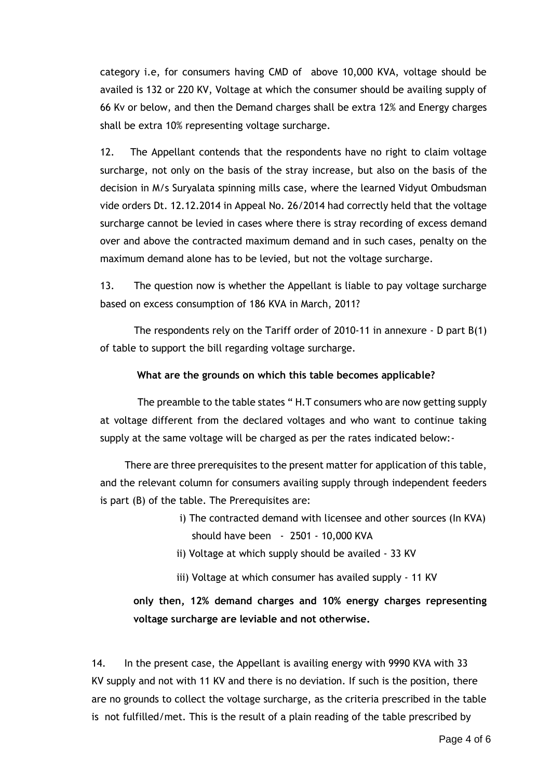category i.e, for consumers having CMD of above 10,000 KVA, voltage should be availed is 132 or 220 KV, Voltage at which the consumer should be availing supply of 66 Kv or below, and then the Demand charges shall be extra 12% and Energy charges shall be extra 10% representing voltage surcharge.

12. The Appellant contends that the respondents have no right to claim voltage surcharge, not only on the basis of the stray increase, but also on the basis of the decision in M/s Suryalata spinning mills case, where the learned Vidyut Ombudsman vide orders Dt. 12.12.2014 in Appeal No. 26/2014 had correctly held that the voltage surcharge cannot be levied in cases where there is stray recording of excess demand over and above the contracted maximum demand and in such cases, penalty on the maximum demand alone has to be levied, but not the voltage surcharge.

13. The question now is whether the Appellant is liable to pay voltage surcharge based on excess consumption of 186 KVA in March, 2011?

 The respondents rely on the Tariff order of 2010-11 in annexure - D part B(1) of table to support the bill regarding voltage surcharge.

### **What are the grounds on which this table becomes applicable?**

The preamble to the table states "H.T consumers who are now getting supply at voltage different from the declared voltages and who want to continue taking supply at the same voltage will be charged as per the rates indicated below:-

 There are three prerequisites to the present matter for application of this table, and the relevant column for consumers availing supply through independent feeders is part (B) of the table. The Prerequisites are:

- i) The contracted demand with licensee and other sources (In KVA) should have been - 2501 - 10,000 KVA
- ii) Voltage at which supply should be availed 33 KV
- iii) Voltage at which consumer has availed supply 11 KV

# **only then, 12% demand charges and 10% energy charges representing voltage surcharge are leviable and not otherwise.**

14. In the present case, the Appellant is availing energy with 9990 KVA with 33 KV supply and not with 11 KV and there is no deviation. If such is the position, there are no grounds to collect the voltage surcharge, as the criteria prescribed in the table is not fulfilled/met. This is the result of a plain reading of the table prescribed by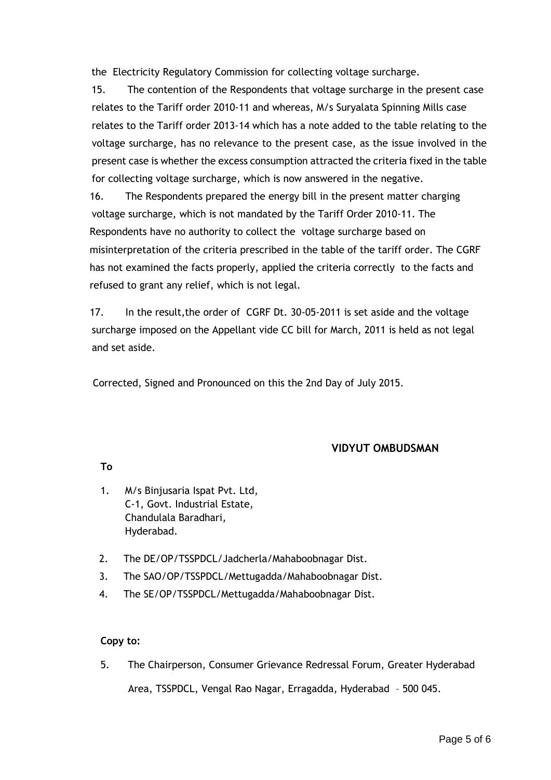the Electricity Regulatory Commission for collecting voltage surcharge.

 15. The contention of the Respondents that voltage surcharge in the present case relates to the Tariff order 2010-11 and whereas, M/s Suryalata Spinning Mills case relates to the Tariff order 2013-14 which has a note added to the table relating to the voltage surcharge, has no relevance to the present case, as the issue involved in the present case is whether the excess consumption attracted the criteria fixed in the table for collecting voltage surcharge, which is now answered in the negative.

 16. The Respondents prepared the energy bill in the present matter charging voltage surcharge, which is not mandated by the Tariff Order 2010-11. The Respondents have no authority to collect the voltage surcharge based on misinterpretation of the criteria prescribed in the table of the tariff order. The CGRF has not examined the facts properly, applied the criteria correctly to the facts and refused to grant any relief, which is not legal.

 17. In the result,the order of CGRF Dt. 30-05-2011 is set aside and the voltage surcharge imposed on the Appellant vide CC bill for March, 2011 is held as not legal and set aside.

Corrected, Signed and Pronounced on this the 2nd Day of July 2015.

## **VIDYUT OMBUDSMAN**

**To**

- 1. M/s Binjusaria Ispat Pvt. Ltd, C-1, Govt. Industrial Estate, Chandulala Baradhari, Hyderabad.
- 2. The DE/OP/TSSPDCL/Jadcherla/Mahaboobnagar Dist.
- 3. The SAO/OP/TSSPDCL/Mettugadda/Mahaboobnagar Dist.
- 4. The SE/OP/TSSPDCL/Mettugadda/Mahaboobnagar Dist.

## **Copy to:**

5. The Chairperson, Consumer Grievance Redressal Forum, Greater Hyderabad Area, TSSPDCL, Vengal Rao Nagar, Erragadda, Hyderabad – 500 045.